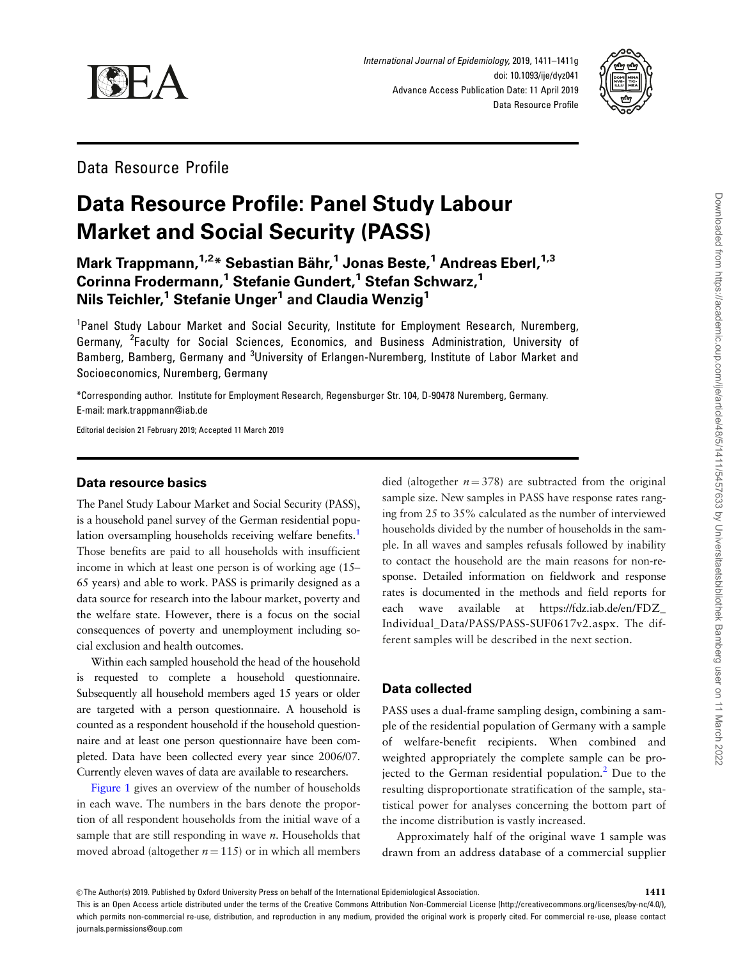<span id="page-0-0"></span>



Data Resource Profile

# Data Resource Profile: Panel Study Labour Market and Social Security (PASS)

Mark Trappmann,<sup>1,2\*</sup> Sebastian Bähr,<sup>1</sup> Jonas Beste,<sup>1</sup> Andreas Eberl,<sup>1,3</sup> Corinna Frodermann,<sup>1</sup> Stefanie Gundert,<sup>1</sup> Stefan Schwarz,<sup>1</sup> Nils Teichler,<sup>1</sup> Stefanie Unger<sup>1</sup> and Claudia Wenzig<sup>1</sup>

<sup>1</sup>Panel Study Labour Market and Social Security, Institute for Employment Research, Nuremberg, Germany, <sup>2</sup>Faculty for Social Sciences, Economics, and Business Administration, University of Bamberg, Bamberg, Germany and <sup>3</sup>University of Erlangen-Nuremberg, Institute of Labor Market and Socioeconomics, Nuremberg, Germany

\*Corresponding author. Institute for Employment Research, Regensburger Str. 104, D-90478 Nuremberg, Germany. E-mail: mark.trappmann@iab.de

Editorial decision 21 February 2019; Accepted 11 March 2019

#### Data resource basics

The Panel Study Labour Market and Social Security (PASS), is a household panel survey of the German residential population oversampling households receiving welfare benefits.<sup>1</sup> Those benefits are paid to all households with insufficient income in which at least one person is of working age (15– 65 years) and able to work. PASS is primarily designed as a data source for research into the labour market, poverty and the welfare state. However, there is a focus on the social consequences of poverty and unemployment including social exclusion and health outcomes.

Within each sampled household the head of the household is requested to complete a household questionnaire. Subsequently all household members aged 15 years or older are targeted with a person questionnaire. A household is counted as a respondent household if the household questionnaire and at least one person questionnaire have been completed. Data have been collected every year since 2006/07. Currently eleven waves of data are available to researchers.

[Figure 1](#page-1-0) gives an overview of the number of households in each wave. The numbers in the bars denote the proportion of all respondent households from the initial wave of a sample that are still responding in wave  $n$ . Households that moved abroad (altogether  $n = 115$ ) or in which all members

died (altogether  $n = 378$ ) are subtracted from the original sample size. New samples in PASS have response rates ranging from 25 to 35% calculated as the number of interviewed households divided by the number of households in the sample. In all waves and samples refusals followed by inability to contact the household are the main reasons for non-response. Detailed information on fieldwork and response rates is documented in the methods and field reports for each wave available at [https://fdz.iab.de/en/FDZ\\_](https://fdz.iab.de/en/FDZ_Individual_Data/PASS/PASS-SUF0617v2.aspx) [Individual\\_Data/PASS/PASS-SUF0617v2.aspx.](https://fdz.iab.de/en/FDZ_Individual_Data/PASS/PASS-SUF0617v2.aspx) The different samples will be described in the next section.

### Data collected

PASS uses a dual-frame sampling design, combining a sample of the residential population of Germany with a sample of welfare-benefit recipients. When combined and weighted appropriately the complete sample can be projected to the German residential population. $<sup>2</sup>$  Due to the</sup> resulting disproportionate stratification of the sample, statistical power for analyses concerning the bottom part of the income distribution is vastly increased.

Approximately half of the original wave 1 sample was drawn from an address database of a commercial supplier

This is an Open Access article distributed under the terms of the Creative Commons Attribution Non-Commercial License (http://creativecommons.org/licenses/by-nc/4.0/), which permits non-commercial re-use, distribution, and reproduction in any medium, provided the original work is properly cited. For commercial re-use, please contact journals.permissions@oup.com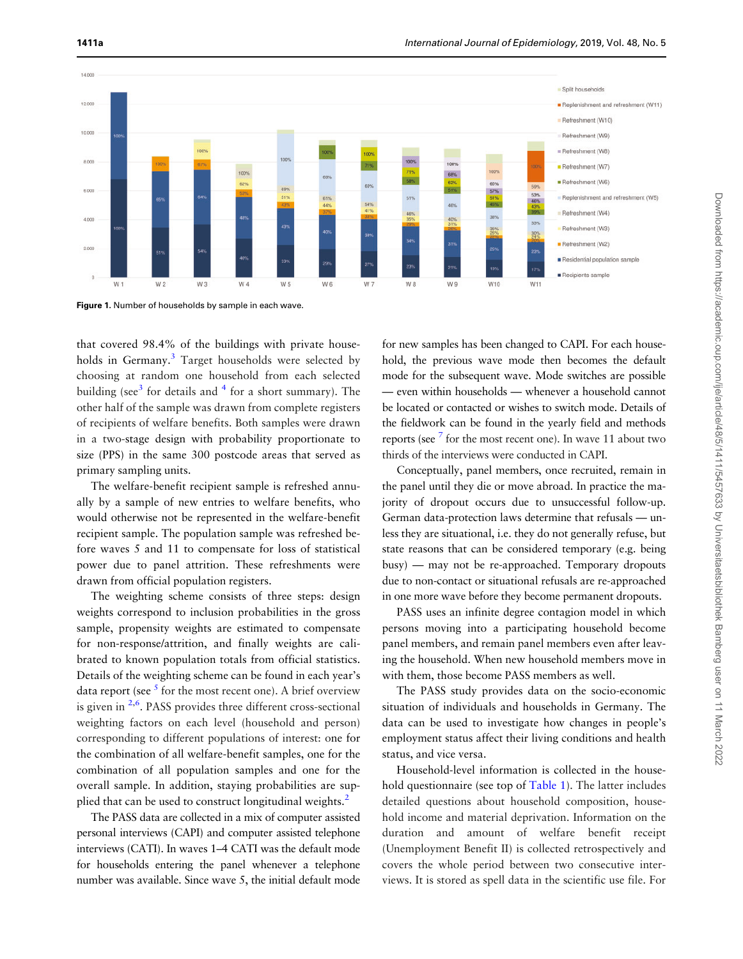<span id="page-1-0"></span>

Figure 1. Number of households by sample in each wave.

that covered 98.4% of the buildings with private house-holds in Germany.<sup>[3](#page-5-0)</sup> Target households were selected by choosing at random one household from each selected building (see<sup>[3](#page-5-0)</sup> for details and  $4$  for a short summary). The other half of the sample was drawn from complete registers of recipients of welfare benefits. Both samples were drawn in a two-stage design with probability proportionate to size (PPS) in the same 300 postcode areas that served as primary sampling units.

The welfare-benefit recipient sample is refreshed annually by a sample of new entries to welfare benefits, who would otherwise not be represented in the welfare-benefit recipient sample. The population sample was refreshed before waves 5 and 11 to compensate for loss of statistical power due to panel attrition. These refreshments were drawn from official population registers.

The weighting scheme consists of three steps: design weights correspond to inclusion probabilities in the gross sample, propensity weights are estimated to compensate for non-response/attrition, and finally weights are calibrated to known population totals from official statistics. Details of the weighting scheme can be found in each year's data report (see  $<sup>5</sup>$  $<sup>5</sup>$  $<sup>5</sup>$  for the most recent one). A brief overview</sup> is given in <sup>[2,6](#page-5-0)</sup>. PASS provides three different cross-sectional weighting factors on each level (household and person) corresponding to different populations of interest: one for the combination of all welfare-benefit samples, one for the combination of all population samples and one for the overall sample. In addition, staying probabilities are sup-plied that can be used to construct longitudinal weights.<sup>[2](#page-5-0)</sup>

The PASS data are collected in a mix of computer assisted personal interviews (CAPI) and computer assisted telephone interviews (CATI). In waves 1–4 CATI was the default mode for households entering the panel whenever a telephone number was available. Since wave 5, the initial default mode

for new samples has been changed to CAPI. For each household, the previous wave mode then becomes the default mode for the subsequent wave. Mode switches are possible — even within households — whenever a household cannot be located or contacted or wishes to switch mode. Details of the fieldwork can be found in the yearly field and methods reports (see  $<sup>7</sup>$  $<sup>7</sup>$  $<sup>7</sup>$  for the most recent one). In wave 11 about two</sup> thirds of the interviews were conducted in CAPI.

Conceptually, panel members, once recruited, remain in the panel until they die or move abroad. In practice the majority of dropout occurs due to unsuccessful follow-up. German data-protection laws determine that refusals — unless they are situational, i.e. they do not generally refuse, but state reasons that can be considered temporary (e.g. being busy) — may not be re-approached. Temporary dropouts due to non-contact or situational refusals are re-approached in one more wave before they become permanent dropouts.

PASS uses an infinite degree contagion model in which persons moving into a participating household become panel members, and remain panel members even after leaving the household. When new household members move in with them, those become PASS members as well.

The PASS study provides data on the socio-economic situation of individuals and households in Germany. The data can be used to investigate how changes in people's employment status affect their living conditions and health status, and vice versa.

Household-level information is collected in the household questionnaire (see top of [Table 1\)](#page-2-0). The latter includes detailed questions about household composition, household income and material deprivation. Information on the duration and amount of welfare benefit receipt (Unemployment Benefit II) is collected retrospectively and covers the whole period between two consecutive interviews. It is stored as spell data in the scientific use file. For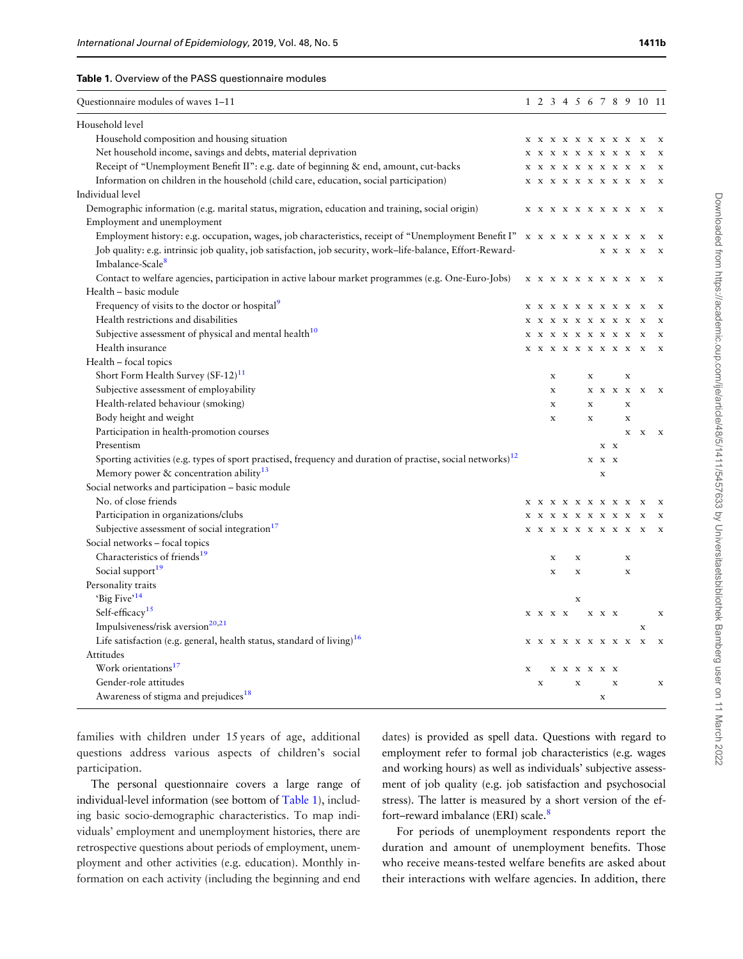#### <span id="page-2-0"></span>Table 1. Overview of the PASS questionnaire modules

| Questionnaire modules of waves 1-11                                                                                    |   |             |             |                                                                                                                                                                             |             |             |             |             |                                                                                  | 1 2 3 4 5 6 7 8 9 10 11   |                           |
|------------------------------------------------------------------------------------------------------------------------|---|-------------|-------------|-----------------------------------------------------------------------------------------------------------------------------------------------------------------------------|-------------|-------------|-------------|-------------|----------------------------------------------------------------------------------|---------------------------|---------------------------|
| Household level                                                                                                        |   |             |             |                                                                                                                                                                             |             |             |             |             |                                                                                  |                           |                           |
| Household composition and housing situation                                                                            |   |             |             | <b>X X X X X X X X X</b>                                                                                                                                                    |             |             |             |             |                                                                                  | $\mathbf x$               |                           |
| Net household income, savings and debts, material deprivation                                                          |   |             |             | $\begin{array}{cccccccccccccc} \textbf{X} & \textbf{X} & \textbf{X} & \textbf{X} & \textbf{X} & \textbf{X} & \textbf{X} & \textbf{X} & \textbf{X} & \textbf{X} \end{array}$ |             |             |             |             |                                                                                  | $\mathbf{x}$              | X                         |
| Receipt of "Unemployment Benefit II": e.g. date of beginning & end, amount, cut-backs                                  |   |             |             | $\begin{array}{cccccccccccccc} \textbf{X} & \textbf{X} & \textbf{X} & \textbf{X} & \textbf{X} & \textbf{X} & \textbf{X} & \textbf{X} & \textbf{X} & \textbf{X} \end{array}$ |             |             |             |             |                                                                                  | $\mathbf{x}$              | X                         |
| Information on children in the household (child care, education, social participation)                                 |   |             |             | <b>X X X X X X X X X</b>                                                                                                                                                    |             |             |             |             |                                                                                  | $\mathbf{x}$              | $\bf{x}$                  |
| Individual level                                                                                                       |   |             |             |                                                                                                                                                                             |             |             |             |             |                                                                                  |                           |                           |
| Demographic information (e.g. marital status, migration, education and training, social origin)                        |   |             |             |                                                                                                                                                                             |             |             |             |             |                                                                                  |                           | $\mathbf{x}$              |
| Employment and unemployment                                                                                            |   |             |             |                                                                                                                                                                             |             |             |             |             |                                                                                  |                           |                           |
| Employment history: e.g. occupation, wages, job characteristics, receipt of "Unemployment Benefit I"                   |   |             |             | $\begin{array}{cccccccccccccc} \textbf{X} & \textbf{X} & \textbf{X} & \textbf{X} & \textbf{X} & \textbf{X} & \textbf{X} & \textbf{X} & \textbf{X} & \textbf{X} \end{array}$ |             |             |             |             |                                                                                  | X                         |                           |
| Job quality: e.g. intrinsic job quality, job satisfaction, job security, work-life-balance, Effort-Reward-             |   |             |             |                                                                                                                                                                             |             |             |             | $X$ $X$ $X$ |                                                                                  | $\mathbf{x}$              | $\mathbf{x}$              |
| Imbalance-Scale <sup>8</sup>                                                                                           |   |             |             |                                                                                                                                                                             |             |             |             |             |                                                                                  |                           |                           |
| Contact to welfare agencies, participation in active labour market programmes (e.g. One-Euro-Jobs)                     |   |             |             | <b>X X X X X X X X X X</b>                                                                                                                                                  |             |             |             |             |                                                                                  |                           |                           |
| Health - basic module                                                                                                  |   |             |             |                                                                                                                                                                             |             |             |             |             |                                                                                  |                           |                           |
| Frequency of visits to the doctor or hospital <sup>9</sup>                                                             |   |             |             | <b>X X X X X X X X X</b>                                                                                                                                                    |             |             |             |             |                                                                                  | $\mathbf{x}$              |                           |
| Health restrictions and disabilities                                                                                   |   |             |             | $\begin{array}{cccccccccccccc} \textbf{X} & \textbf{X} & \textbf{X} & \textbf{X} & \textbf{X} & \textbf{X} & \textbf{X} & \textbf{X} & \textbf{X} & \textbf{X} \end{array}$ |             |             |             |             |                                                                                  | $\mathbf x$               | $\mathbf{x}$              |
| Subjective assessment of physical and mental health <sup>10</sup>                                                      |   |             |             | <b>X X X X X X X X X</b>                                                                                                                                                    |             |             |             |             |                                                                                  | $\mathbf{x}$              | $\mathbf x$               |
| Health insurance                                                                                                       |   |             |             | <b>X X X X X X X X X X</b>                                                                                                                                                  |             |             |             |             |                                                                                  |                           | $\mathbf{x}$              |
| Health – focal topics                                                                                                  |   |             |             |                                                                                                                                                                             |             |             |             |             |                                                                                  |                           |                           |
| Short Form Health Survey (SF-12) <sup>11</sup>                                                                         |   |             | $\mathbf x$ |                                                                                                                                                                             |             | $\mathbf x$ |             |             | $\mathbf x$                                                                      |                           |                           |
| Subjective assessment of employability                                                                                 |   |             | $\mathbf x$ |                                                                                                                                                                             |             |             |             |             | $\mathbf{X} \quad \mathbf{X} \quad \mathbf{X} \quad \mathbf{X} \quad \mathbf{X}$ |                           | $\mathbf{x}$              |
| Health-related behaviour (smoking)                                                                                     |   |             | $\mathbf x$ |                                                                                                                                                                             |             | $\mathbf x$ |             |             | $\mathbf x$                                                                      |                           |                           |
| Body height and weight                                                                                                 |   |             | X           |                                                                                                                                                                             |             | X           |             |             | X                                                                                |                           |                           |
| Participation in health-promotion courses                                                                              |   |             |             |                                                                                                                                                                             |             |             |             |             |                                                                                  | $\mathbf{X}-\mathbf{X}$   | $\mathbf{x}$              |
| Presentism                                                                                                             |   |             |             |                                                                                                                                                                             |             |             | X X         |             |                                                                                  |                           |                           |
| Sporting activities (e.g. types of sport practised, frequency and duration of practise, social networks) <sup>12</sup> |   |             |             |                                                                                                                                                                             |             |             | $X$ $X$ $X$ |             |                                                                                  |                           |                           |
| Memory power & concentration ability <sup>13</sup>                                                                     |   |             |             |                                                                                                                                                                             |             |             | $\mathbf x$ |             |                                                                                  |                           |                           |
| Social networks and participation - basic module                                                                       |   |             |             |                                                                                                                                                                             |             |             |             |             |                                                                                  |                           |                           |
| No. of close friends                                                                                                   |   |             |             | <b>X X X X X X X X X</b>                                                                                                                                                    |             |             |             |             |                                                                                  | $\mathbf{x}$              | $\mathbf{x}$              |
| Participation in organizations/clubs                                                                                   |   |             |             | <b>X X X X X X X X X</b>                                                                                                                                                    |             |             |             |             |                                                                                  | $\boldsymbol{\mathrm{x}}$ | $\mathbf{x}$              |
| Subjective assessment of social integration <sup>17</sup>                                                              |   |             |             | X X X X X X X X X X                                                                                                                                                         |             |             |             |             |                                                                                  |                           |                           |
| Social networks - focal topics                                                                                         |   |             |             |                                                                                                                                                                             |             |             |             |             |                                                                                  |                           |                           |
| Characteristics of friends <sup>19</sup>                                                                               |   |             | $\mathbf x$ |                                                                                                                                                                             | $\mathbf X$ |             |             |             | $\mathbf x$                                                                      |                           |                           |
| Social support <sup>19</sup>                                                                                           |   |             | $\mathbf x$ |                                                                                                                                                                             | X           |             |             |             | $\mathbf x$                                                                      |                           |                           |
| Personality traits                                                                                                     |   |             |             |                                                                                                                                                                             |             |             |             |             |                                                                                  |                           |                           |
| 'Big Five' <sup>14</sup>                                                                                               |   |             |             |                                                                                                                                                                             | x           |             |             |             |                                                                                  |                           |                           |
| Self-efficacy <sup>15</sup>                                                                                            |   | X X X X     |             |                                                                                                                                                                             |             |             | X X X       |             |                                                                                  |                           | X                         |
| Impulsiveness/risk aversion <sup>20,21</sup>                                                                           |   |             |             |                                                                                                                                                                             |             |             |             |             |                                                                                  | X                         |                           |
| Life satisfaction (e.g. general, health status, standard of living) $16$                                               |   |             |             | $\begin{array}{cccccccccccccc} \textbf{X} & \textbf{X} & \textbf{X} & \textbf{X} & \textbf{X} & \textbf{X} & \textbf{X} & \textbf{X} & \textbf{X} & \textbf{X} \end{array}$ |             |             |             |             |                                                                                  | $\mathbf{x}$              | $\boldsymbol{\mathrm{x}}$ |
| Attitudes                                                                                                              |   |             |             |                                                                                                                                                                             |             |             |             |             |                                                                                  |                           |                           |
| Work orientations <sup>17</sup>                                                                                        | X |             |             | $\begin{array}{ccccc}\nX & X & X & X & X & X\n\end{array}$                                                                                                                  |             |             |             |             |                                                                                  |                           |                           |
| Gender-role attitudes                                                                                                  |   | $\mathbf x$ |             |                                                                                                                                                                             | $\mathbf x$ |             |             | $\mathbf x$ |                                                                                  |                           | $\mathbf x$               |
| Awareness of stigma and prejudices <sup>18</sup>                                                                       |   |             |             |                                                                                                                                                                             |             |             | $\mathbf x$ |             |                                                                                  |                           |                           |
|                                                                                                                        |   |             |             |                                                                                                                                                                             |             |             |             |             |                                                                                  |                           |                           |

families with children under 15 years of age, additional questions address various aspects of children's social participation.

The personal questionnaire covers a large range of individual-level information (see bottom of Table 1), including basic socio-demographic characteristics. To map individuals' employment and unemployment histories, there are retrospective questions about periods of employment, unemployment and other activities (e.g. education). Monthly information on each activity (including the beginning and end

dates) is provided as spell data. Questions with regard to employment refer to formal job characteristics (e.g. wages and working hours) as well as individuals' subjective assessment of job quality (e.g. job satisfaction and psychosocial stress). The latter is measured by a short version of the effort-reward imbalance (ERI) scale.<sup>8</sup>

For periods of unemployment respondents report the duration and amount of unemployment benefits. Those who receive means-tested welfare benefits are asked about their interactions with welfare agencies. In addition, there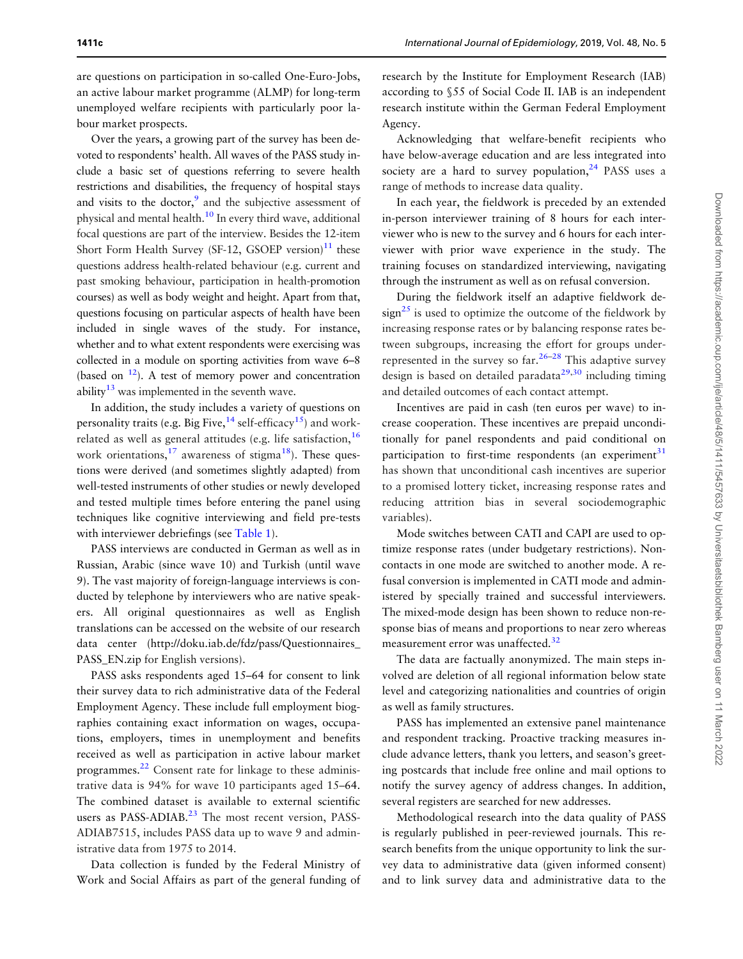<span id="page-3-0"></span>Over the years, a growing part of the survey has been devoted to respondents' health. All waves of the PASS study include a basic set of questions referring to severe health restrictions and disabilities, the frequency of hospital stays and visits to the doctor, $9$  and the subjective assessment of physical and mental health.[10](#page-6-0) In every third wave, additional focal questions are part of the interview. Besides the 12-item Short Form Health Survey (SF-12, GSOEP version)<sup>[11](#page-6-0)</sup> these questions address health-related behaviour (e.g. current and past smoking behaviour, participation in health-promotion courses) as well as body weight and height. Apart from that, questions focusing on particular aspects of health have been included in single waves of the study. For instance, whether and to what extent respondents were exercising was collected in a module on sporting activities from wave 6–8 (based on  $12$ ). A test of memory power and concentration ability $13$  was implemented in the seventh wave.

In addition, the study includes a variety of questions on personality traits (e.g. Big Five,  $14$  self-efficacy  $15$ ) and workrelated as well as general attitudes (e.g. life satisfaction,  $16$ work orientations, $^{17}$  awareness of stigma<sup>18</sup>). These questions were derived (and sometimes slightly adapted) from well-tested instruments of other studies or newly developed and tested multiple times before entering the panel using techniques like cognitive interviewing and field pre-tests with interviewer debriefings (see [Table 1\)](#page-2-0).

PASS interviews are conducted in German as well as in Russian, Arabic (since wave 10) and Turkish (until wave 9). The vast majority of foreign-language interviews is conducted by telephone by interviewers who are native speakers. All original questionnaires as well as English translations can be accessed on the website of our research data center [\(http://doku.iab.de/fdz/pass/Questionnaires\\_](http://doku.iab.de/fdz/pass/Questionnaires_PASS_EN.zip) [PASS\\_EN.zip](http://doku.iab.de/fdz/pass/Questionnaires_PASS_EN.zip) for English versions).

PASS asks respondents aged 15–64 for consent to link their survey data to rich administrative data of the Federal Employment Agency. These include full employment biographies containing exact information on wages, occupations, employers, times in unemployment and benefits received as well as participation in active labour market programmes[.22](#page-6-0) Consent rate for linkage to these administrative data is 94% for wave 10 participants aged 15–64. The combined dataset is available to external scientific users as PASS-ADIAB. $^{23}$  $^{23}$  $^{23}$  The most recent version, PASS-ADIAB7515, includes PASS data up to wave 9 and administrative data from 1975 to 2014.

Data collection is funded by the Federal Ministry of Work and Social Affairs as part of the general funding of

Acknowledging that welfare-benefit recipients who have below-average education and are less integrated into society are a hard to survey population, $24$  PASS uses a range of methods to increase data quality.

In each year, the fieldwork is preceded by an extended in-person interviewer training of 8 hours for each interviewer who is new to the survey and 6 hours for each interviewer with prior wave experience in the study. The training focuses on standardized interviewing, navigating through the instrument as well as on refusal conversion.

During the fieldwork itself an adaptive fieldwork de $sign<sup>25</sup>$  is used to optimize the outcome of the fieldwork by increasing response rates or by balancing response rates between subgroups, increasing the effort for groups underrepresented in the survey so  $far.^{26-28}$  This adaptive survey design is based on detailed paradata $^{29,30}$  $^{29,30}$  $^{29,30}$  including timing and detailed outcomes of each contact attempt.

Incentives are paid in cash (ten euros per wave) to increase cooperation. These incentives are prepaid unconditionally for panel respondents and paid conditional on participation to first-time respondents (an experiment $31$ has shown that unconditional cash incentives are superior to a promised lottery ticket, increasing response rates and reducing attrition bias in several sociodemographic variables).

Mode switches between CATI and CAPI are used to optimize response rates (under budgetary restrictions). Noncontacts in one mode are switched to another mode. A refusal conversion is implemented in CATI mode and administered by specially trained and successful interviewers. The mixed-mode design has been shown to reduce non-response bias of means and proportions to near zero whereas measurement error was unaffected.<sup>32</sup>

The data are factually anonymized. The main steps involved are deletion of all regional information below state level and categorizing nationalities and countries of origin as well as family structures.

PASS has implemented an extensive panel maintenance and respondent tracking. Proactive tracking measures include advance letters, thank you letters, and season's greeting postcards that include free online and mail options to notify the survey agency of address changes. In addition, several registers are searched for new addresses.

Methodological research into the data quality of PASS is regularly published in peer-reviewed journals. This research benefits from the unique opportunity to link the survey data to administrative data (given informed consent) and to link survey data and administrative data to the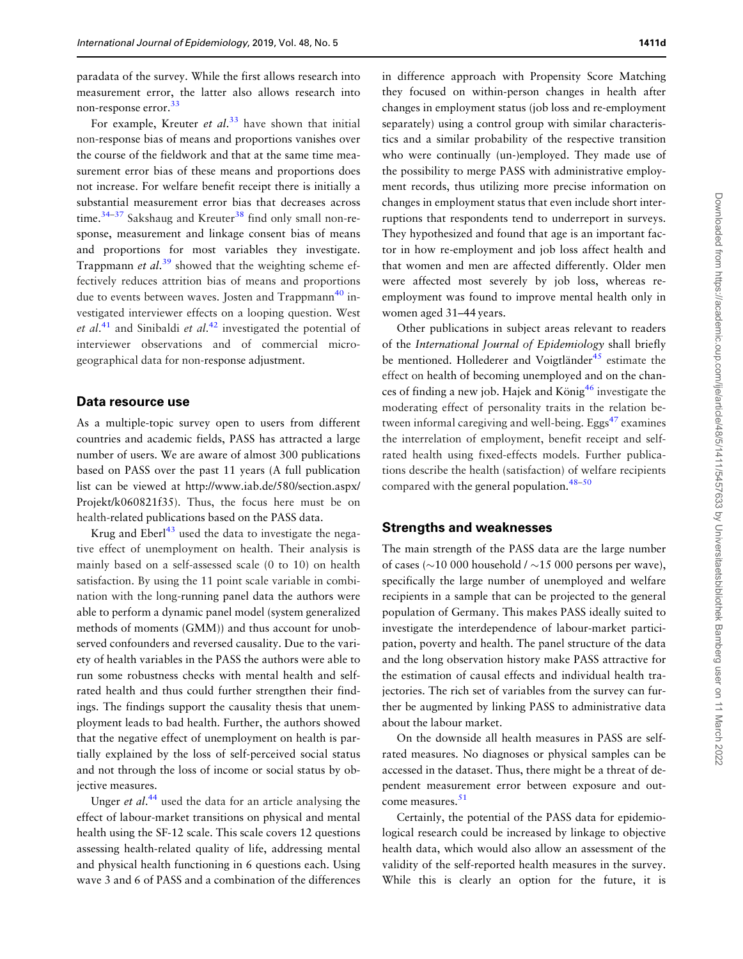<span id="page-4-0"></span>paradata of the survey. While the first allows research into measurement error, the latter also allows research into non-response error.<sup>[33](#page-6-0)</sup>

For example, Kreuter et al.<sup>[33](#page-6-0)</sup> have shown that initial non-response bias of means and proportions vanishes over the course of the fieldwork and that at the same time measurement error bias of these means and proportions does not increase. For welfare benefit receipt there is initially a substantial measurement error bias that decreases across time.<sup>34-37</sup> Sakshaug and Kreuter<sup>[38](#page-6-0)</sup> find only small non-response, measurement and linkage consent bias of means and proportions for most variables they investigate. Trappmann et al.<sup>[39](#page-6-0)</sup> showed that the weighting scheme effectively reduces attrition bias of means and proportions due to events between waves. Josten and Trappmann<sup>[40](#page-6-0)</sup> investigated interviewer effects on a looping question. West et al.<sup>[41](#page-6-0)</sup> and Sinibaldi et al.<sup>[42](#page-6-0)</sup> investigated the potential of interviewer observations and of commercial microgeographical data for non-response adjustment.

#### Data resource use

As a multiple-topic survey open to users from different countries and academic fields, PASS has attracted a large number of users. We are aware of almost 300 publications based on PASS over the past 11 years (A full publication list can be viewed at [http://www.iab.de/580/section.aspx/](http://www.iab.de/580/section.aspx/Projekt/k060821f35) [Projekt/k060821f35](http://www.iab.de/580/section.aspx/Projekt/k060821f35)). Thus, the focus here must be on health-related publications based on the PASS data.

Krug and Eberl<sup>[43](#page-7-0)</sup> used the data to investigate the negative effect of unemployment on health. Their analysis is mainly based on a self-assessed scale (0 to 10) on health satisfaction. By using the 11 point scale variable in combination with the long-running panel data the authors were able to perform a dynamic panel model (system generalized methods of moments (GMM)) and thus account for unobserved confounders and reversed causality. Due to the variety of health variables in the PASS the authors were able to run some robustness checks with mental health and selfrated health and thus could further strengthen their findings. The findings support the causality thesis that unemployment leads to bad health. Further, the authors showed that the negative effect of unemployment on health is partially explained by the loss of self-perceived social status and not through the loss of income or social status by objective measures.

Unger et al.<sup>[44](#page-7-0)</sup> used the data for an article analysing the effect of labour-market transitions on physical and mental health using the SF-12 scale. This scale covers 12 questions assessing health-related quality of life, addressing mental and physical health functioning in 6 questions each. Using wave 3 and 6 of PASS and a combination of the differences

in difference approach with Propensity Score Matching they focused on within-person changes in health after changes in employment status (job loss and re-employment separately) using a control group with similar characteristics and a similar probability of the respective transition who were continually (un-)employed. They made use of the possibility to merge PASS with administrative employment records, thus utilizing more precise information on changes in employment status that even include short interruptions that respondents tend to underreport in surveys. They hypothesized and found that age is an important factor in how re-employment and job loss affect health and that women and men are affected differently. Older men were affected most severely by job loss, whereas reemployment was found to improve mental health only in women aged 31–44 years.

Other publications in subject areas relevant to readers of the International Journal of Epidemiology shall briefly be mentioned. Hollederer and Voigtländer<sup>[45](#page-7-0)</sup> estimate the effect on health of becoming unemployed and on the chances of finding a new job. Hajek and König<sup>46</sup> investigate the moderating effect of personality traits in the relation between informal caregiving and well-being. Eggs $^{47}$  examines the interrelation of employment, benefit receipt and selfrated health using fixed-effects models. Further publications describe the health (satisfaction) of welfare recipients compared with the general population. $48-50$ 

#### Strengths and weaknesses

The main strength of the PASS data are the large number of cases ( $\sim$ 10 000 household /  $\sim$ 15 000 persons per wave), specifically the large number of unemployed and welfare recipients in a sample that can be projected to the general population of Germany. This makes PASS ideally suited to investigate the interdependence of labour-market participation, poverty and health. The panel structure of the data and the long observation history make PASS attractive for the estimation of causal effects and individual health trajectories. The rich set of variables from the survey can further be augmented by linking PASS to administrative data about the labour market.

On the downside all health measures in PASS are selfrated measures. No diagnoses or physical samples can be accessed in the dataset. Thus, there might be a threat of dependent measurement error between exposure and out-come measures.<sup>[51](#page-7-0)</sup>

Certainly, the potential of the PASS data for epidemiological research could be increased by linkage to objective health data, which would also allow an assessment of the validity of the self-reported health measures in the survey. While this is clearly an option for the future, it is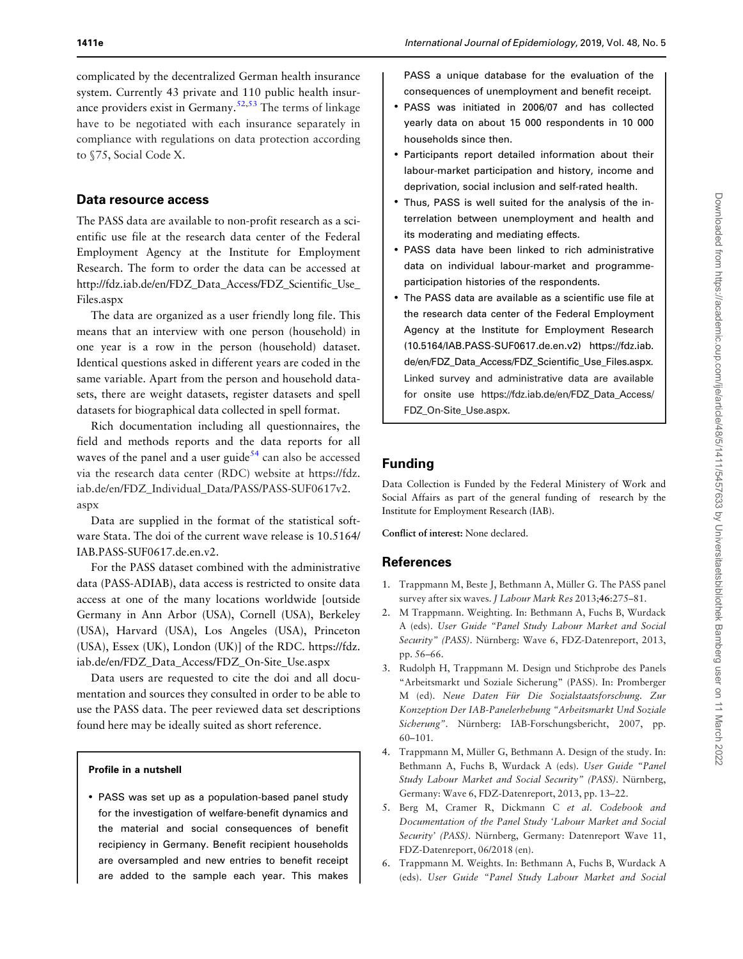<span id="page-5-0"></span>complicated by the decentralized German health insurance system. Currently 43 private and 110 public health insurance providers exist in Germany.<sup> $52,53$ </sup> The terms of linkage have to be negotiated with each insurance separately in compliance with regulations on data protection according to §75, Social Code X.

# Data resource access

The PASS data are available to non-profit research as a scientific use file at the research data center of the Federal Employment Agency at the Institute for Employment Research. The form to order the data can be accessed at [http://fdz.iab.de/en/FDZ\\_Data\\_Access/FDZ\\_Scientific\\_Use\\_](http://fdz.iab.de/en/FDZ_Data_Access/FDZ_Scientific_Use_Files.aspx) [Files.aspx](http://fdz.iab.de/en/FDZ_Data_Access/FDZ_Scientific_Use_Files.aspx)

The data are organized as a user friendly long file. This means that an interview with one person (household) in one year is a row in the person (household) dataset. Identical questions asked in different years are coded in the same variable. Apart from the person and household datasets, there are weight datasets, register datasets and spell datasets for biographical data collected in spell format.

Rich documentation including all questionnaires, the field and methods reports and the data reports for all waves of the panel and a user guide<sup>[54](#page-7-0)</sup> can also be accessed via the research data center (RDC) website at [https://fdz.](https://fdz.iab.de/en/FDZ_Individual_Data/PASS/PASS-SUF0617v2.aspx) [iab.de/en/FDZ\\_Individual\\_Data/PASS/PASS-SUF0617v2.](https://fdz.iab.de/en/FDZ_Individual_Data/PASS/PASS-SUF0617v2.aspx) [aspx](https://fdz.iab.de/en/FDZ_Individual_Data/PASS/PASS-SUF0617v2.aspx)

Data are supplied in the format of the statistical software Stata. The doi of the current wave release is 10.5164/ IAB.PASS-SUF0617.de.en.v2.

For the PASS dataset combined with the administrative data (PASS-ADIAB), data access is restricted to onsite data access at one of the many locations worldwide [outside Germany in Ann Arbor (USA), Cornell (USA), Berkeley (USA), Harvard (USA), Los Angeles (USA), Princeton (USA), Essex (UK), London (UK)] of the RDC. [https://fdz.](https://fdz.iab.de/en/FDZ_Data_Access/FDZ_On-Site_Use.aspx) [iab.de/en/FDZ\\_Data\\_Access/FDZ\\_On-Site\\_Use.aspx](https://fdz.iab.de/en/FDZ_Data_Access/FDZ_On-Site_Use.aspx)

Data users are requested to cite the doi and all documentation and sources they consulted in order to be able to use the PASS data. The peer reviewed data set descriptions found here may be ideally suited as short reference.

## Profile in a nutshell

• PASS was set up as a population-based panel study for the investigation of welfare-benefit dynamics and the material and social consequences of benefit recipiency in Germany. Benefit recipient households are oversampled and new entries to benefit receipt are added to the sample each year. This makes PASS a unique database for the evaluation of the consequences of unemployment and benefit receipt.

- PASS was initiated in 2006/07 and has collected yearly data on about 15 000 respondents in 10 000 households since then.
- Participants report detailed information about their labour-market participation and history, income and deprivation, social inclusion and self-rated health.
- Thus, PASS is well suited for the analysis of the interrelation between unemployment and health and its moderating and mediating effects.
- PASS data have been linked to rich administrative data on individual labour-market and programmeparticipation histories of the respondents.
- The PASS data are available as a scientific use file at the research data center of the Federal Employment Agency at the Institute for Employment Research (10.5164/IAB.PASS-SUF0617.de.en.v2) [https://fdz.iab.](https://fdz.iab.de/en/FDZ_Data_Access/FDZ_Scientific_Use_Files.aspx) [de/en/FDZ\\_Data\\_Access/FDZ\\_Scientific\\_Use\\_Files.aspx.](https://fdz.iab.de/en/FDZ_Data_Access/FDZ_Scientific_Use_Files.aspx) Linked survey and administrative data are available for onsite use [https://fdz.iab.de/en/FDZ\\_Data\\_Access/](https://fdz.iab.de/en/FDZ_Data_Access/FDZ_On-Site_Use.aspx) [FDZ\\_On-Site\\_Use.aspx](https://fdz.iab.de/en/FDZ_Data_Access/FDZ_On-Site_Use.aspx).

# Funding

Data Collection is Funded by the Federal Ministery of Work and Social Affairs as part of the general funding of research by the Institute for Employment Research (IAB).

Conflict of interest: None declared.

# References

- [1.](#page-0-0) Trappmann M, Beste J, Bethmann A, Müller G. The PASS panel survey after six waves. J Labour Mark Res 2013;46:275–81.
- [2.](#page-0-0) M Trappmann. Weighting. In: Bethmann A, Fuchs B, Wurdack A (eds). User Guide "Panel Study Labour Market and Social Security" (PASS). Nürnberg: Wave 6, FDZ-Datenreport, 2013, pp. 56–66.
- [3.](#page-1-0) Rudolph H, Trappmann M. Design und Stichprobe des Panels "Arbeitsmarkt und Soziale Sicherung" (PASS). In: Promberger M (ed). Neue Daten Für Die Sozialstaatsforschung. Zur Konzeption Der IAB-Panelerhebung "Arbeitsmarkt Und Soziale Sicherung". Nürnberg: IAB-Forschungsbericht, 2007, pp. 60–101.
- [4.](#page-1-0) Trappmann M, Müller G, Bethmann A. Design of the study. In: Bethmann A, Fuchs B, Wurdack A (eds). User Guide "Panel Study Labour Market and Social Security" (PASS). Nürnberg, Germany: Wave 6, FDZ-Datenreport, 2013, pp. 13–22.
- [5.](#page-1-0) Berg M, Cramer R, Dickmann C et al. Codebook and Documentation of the Panel Study 'Labour Market and Social Security' (PASS). Nürnberg, Germany: Datenreport Wave 11, FDZ-Datenreport, 06/2018 (en).
- [6.](#page-1-0) Trappmann M. Weights. In: Bethmann A, Fuchs B, Wurdack A (eds). User Guide "Panel Study Labour Market and Social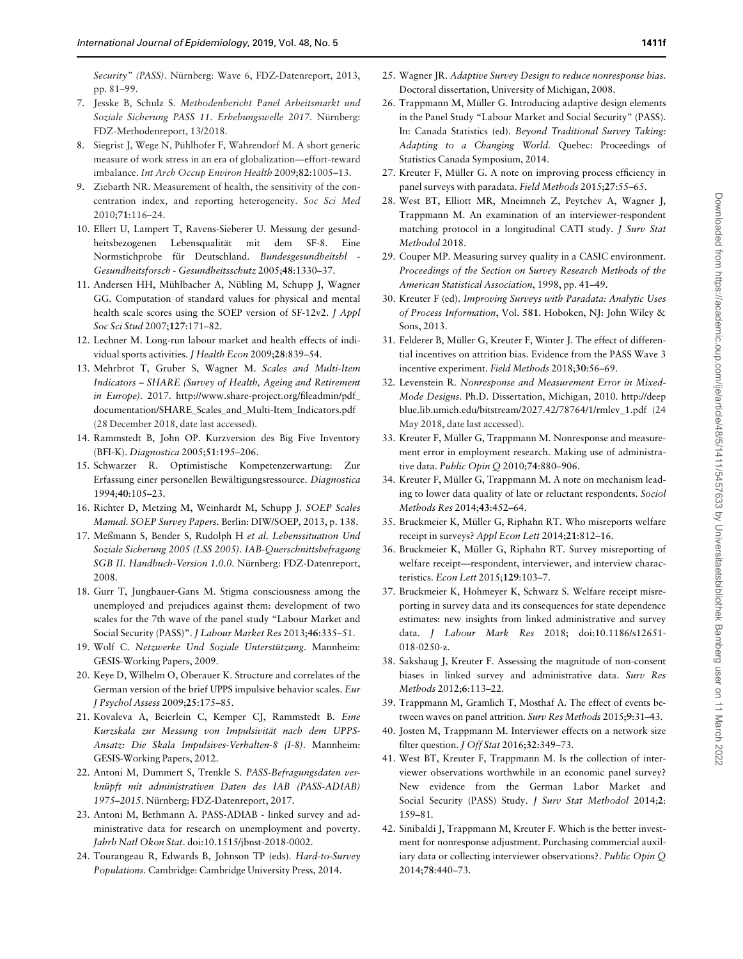<span id="page-6-0"></span>Security" (PASS). Nürnberg: Wave 6, FDZ-Datenreport, 2013, pp. 81–99.

- [7.](#page-1-0) Jesske B, Schulz S. Methodenbericht Panel Arbeitsmarkt und Soziale Sicherung PASS 11. Erhebungswelle 2017. Nürnberg: FDZ-Methodenreport, 13/2018.
- [8.](#page-2-0) Siegrist J, Wege N, Pühlhofer F, Wahrendorf M. A short generic measure of work stress in an era of globalization—effort-reward imbalance. Int Arch Occup Environ Health 2009;82:1005–13.
- [9.](#page-2-0) Ziebarth NR. Measurement of health, the sensitivity of the concentration index, and reporting heterogeneity. Soc Sci Med 2010;71:116–24.
- [10.](#page-2-0) Ellert U, Lampert T, Ravens-Sieberer U. Messung der gesundheitsbezogenen Lebensqualität mit dem SF-8. Eine Normstichprobe für Deutschland. Bundesgesundheitsbl Gesundheitsforsch - Gesundheitsschutz 2005;48:1330–37.
- [11.](#page-2-0) Andersen HH, Mühlbacher A, Nübling M, Schupp J, Wagner GG. Computation of standard values for physical and mental health scale scores using the SOEP version of SF-12v2. *J Appl* Soc Sci Stud 2007;127:171–82.
- [12.](#page-2-0) Lechner M. Long-run labour market and health effects of individual sports activities. J Health Econ 2009;28:839–54.
- [13.](#page-2-0) Mehrbrot T, Gruber S, Wagner M. Scales and Multi-Item Indicators – SHARE (Survey of Health, Ageing and Retirement in Europe). 2017. [http://www.share-project.org/fileadmin/pdf\\_](http://www.share-project.org/fileadmin/pdf_documentation/SHARE_Scales_and_Multi-Item_Indicators.pdf) [documentation/SHARE\\_Scales\\_and\\_Multi-Item\\_Indicators.pdf](http://www.share-project.org/fileadmin/pdf_documentation/SHARE_Scales_and_Multi-Item_Indicators.pdf) (28 December 2018, date last accessed).
- [14.](#page-2-0) Rammstedt B, John OP. Kurzversion des Big Five Inventory (BFI-K). Diagnostica 2005;51:195–206.
- [15.](#page-2-0) Schwarzer R. Optimistische Kompetenzerwartung: Zur Erfassung einer personellen Bewältigungsressource. Diagnostica 1994;40:105–23.
- [16.](#page-2-0) Richter D, Metzing M, Weinhardt M, Schupp J. SOEP Scales Manual. SOEP Survey Papers. Berlin: DIW/SOEP, 2013, p. 138.
- [17.](#page-2-0) Meßmann S, Bender S, Rudolph H et al. Lebenssituation Und Soziale Sicherung 2005 (LSS 2005). IAB-Querschnittsbefragung SGB II. Handbuch-Version 1.0.0. Nürnberg: FDZ-Datenreport, 2008.
- [18.](#page-2-0) Gurr T, Jungbauer-Gans M. Stigma consciousness among the unemployed and prejudices against them: development of two scales for the 7th wave of the panel study "Labour Market and Social Security (PASS)". J Labour Market Res 2013;46:335–51.
- [19.](#page-2-0) Wolf C. Netzwerke Und Soziale Unterstützung. Mannheim: GESIS-Working Papers, 2009.
- [20.](#page-2-0) Keye D, Wilhelm O, Oberauer K. Structure and correlates of the German version of the brief UPPS impulsive behavior scales. Eur J Psychol Assess 2009;25:175–85.
- [21.](#page-2-0) Kovaleva A, Beierlein C, Kemper CJ, Rammstedt B. Eine Kurzskala zur Messung von Impulsivität nach dem UPPS-Ansatz: Die Skala Impulsives-Verhalten-8 (I-8). Mannheim: GESIS-Working Papers, 2012.
- [22.](#page-3-0) Antoni M, Dummert S, Trenkle S. PASS-Befragungsdaten verknüpft mit administrativen Daten des IAB (PASS-ADIAB) 1975-2015. Nürnberg: FDZ-Datenreport, 2017.
- [23.](#page-3-0) Antoni M, Bethmann A. PASS-ADIAB linked survey and administrative data for research on unemployment and poverty. Jahrb Natl Okon Stat. doi:10.1515/jbnst-2018-0002.
- [24.](#page-3-0) Tourangeau R, Edwards B, Johnson TP (eds). Hard-to-Survey Populations. Cambridge: Cambridge University Press, 2014.
- [25.](#page-3-0) Wagner JR. Adaptive Survey Design to reduce nonresponse bias. Doctoral dissertation, University of Michigan, 2008.
- 26. Trappmann M, Müller G. Introducing adaptive design elements in the Panel Study "Labour Market and Social Security" (PASS). In: Canada Statistics (ed). Beyond Traditional Survey Taking: Adapting to a Changing World. Quebec: Proceedings of Statistics Canada Symposium, 2014.
- 27. Kreuter F, Müller G. A note on improving process efficiency in panel surveys with paradata. Field Methods 2015;27:55–65.
- 28. West BT, Elliott MR, Mneimneh Z, Peytchev A, Wagner J, Trappmann M. An examination of an interviewer-respondent matching protocol in a longitudinal CATI study. *J Surv Stat* Methodol 2018.
- [29.](#page-3-0) Couper MP. Measuring survey quality in a CASIC environment. Proceedings of the Section on Survey Research Methods of the American Statistical Association, 1998, pp. 41–49.
- [30.](#page-3-0) Kreuter F (ed). Improving Surveys with Paradata: Analytic Uses of Process Information, Vol. 581. Hoboken, NJ: John Wiley & Sons, 2013.
- [31.](#page-3-0) Felderer B, Müller G, Kreuter F, Winter J. The effect of differential incentives on attrition bias. Evidence from the PASS Wave 3 incentive experiment. Field Methods 2018;30:56–69.
- [32.](#page-3-0) Levenstein R. Nonresponse and Measurement Error in Mixed-Mode Designs. Ph.D. Dissertation, Michigan, 2010. [http://deep](http://deepblue.lib.umich.edu/bitstream/2027.42/78764/1/rmlev_1.pdf) [blue.lib.umich.edu/bitstream/2027.42/78764/1/rmlev\\_1.pdf](http://deepblue.lib.umich.edu/bitstream/2027.42/78764/1/rmlev_1.pdf) (24 May 2018, date last accessed).
- [33.](#page-4-0) Kreuter F, Müller G, Trappmann M. Nonresponse and measurement error in employment research. Making use of administrative data. Public Opin Q 2010;74:880–906.
- 34. Kreuter F, Müller G, Trappmann M. A note on mechanism leading to lower data quality of late or reluctant respondents. Sociol Methods Res 2014;43:452–64.
- 35. Bruckmeier K, Müller G, Riphahn RT. Who misreports welfare receipt in surveys? Appl Econ Lett 2014;21:812–16.
- 36. Bruckmeier K, Müller G, Riphahn RT. Survey misreporting of welfare receipt—respondent, interviewer, and interview characteristics. Econ Lett 2015;129:103–7.
- 37. Bruckmeier K, Hohmeyer K, Schwarz S. Welfare receipt misreporting in survey data and its consequences for state dependence estimates: new insights from linked administrative and survey data. J Labour Mark Res 2018; doi:10.1186/s12651- 018-0250-z.
- [38.](#page-4-0) Sakshaug J, Kreuter F. Assessing the magnitude of non-consent biases in linked survey and administrative data. Surv Res Methods 2012;6:113–22.
- [39.](#page-4-0) Trappmann M, Gramlich T, Mosthaf A. The effect of events between waves on panel attrition. Surv Res Methods 2015;9:31–43.
- [40.](#page-4-0) Josten M, Trappmann M. Interviewer effects on a network size filter question. J Off Stat 2016;32:349–73.
- [41.](#page-4-0) West BT, Kreuter F, Trappmann M. Is the collection of interviewer observations worthwhile in an economic panel survey? New evidence from the German Labor Market and Social Security (PASS) Study. J Surv Stat Methodol 2014;2: 159–81.
- [42.](#page-4-0) Sinibaldi J, Trappmann M, Kreuter F. Which is the better investment for nonresponse adjustment. Purchasing commercial auxiliary data or collecting interviewer observations?. Public Opin Q 2014;78:440–73.